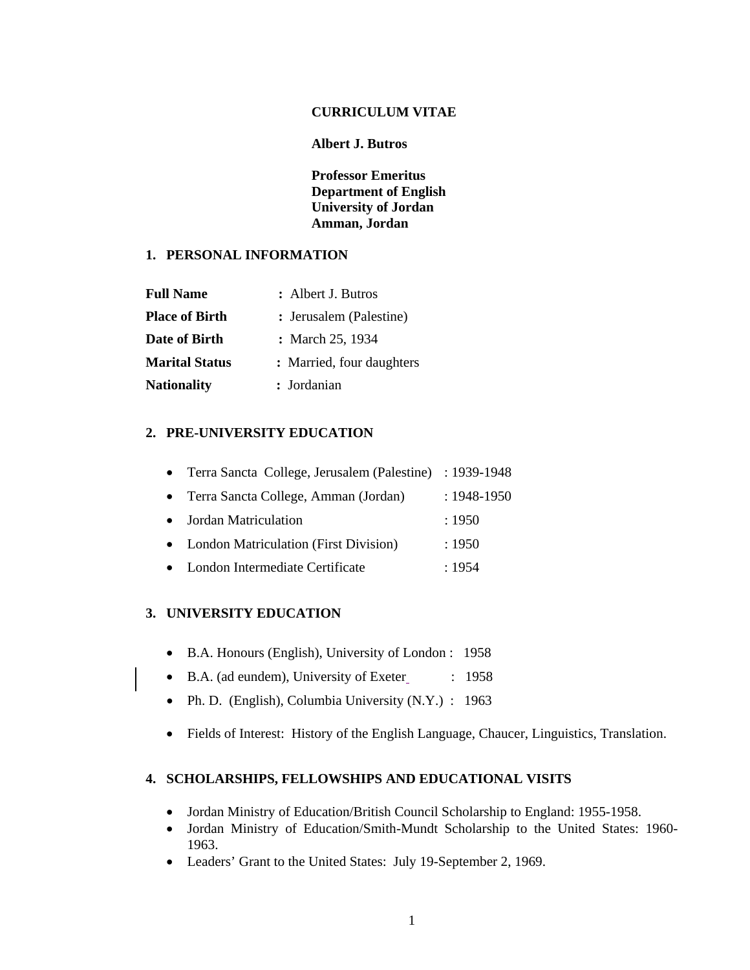#### **CURRICULUM VITAE**

### **Albert J. Butros**

**Professor Emeritus Department of English University of Jordan Amman, Jordan** 

### **1. PERSONAL INFORMATION**

| <b>Full Name</b>      | : Albert J. Butros        |
|-----------------------|---------------------------|
| <b>Place of Birth</b> | : Jerusalem (Palestine)   |
| Date of Birth         | : March 25, 1934          |
| <b>Marital Status</b> | : Married, four daughters |
| <b>Nationality</b>    | : Jordanian               |

# **2. PRE-UNIVERSITY EDUCATION**

| • Terra Sancta College, Jerusalem (Palestine) : 1939-1948 |                 |
|-----------------------------------------------------------|-----------------|
| • Terra Sancta College, Amman (Jordan)                    | $: 1948 - 1950$ |
| • Jordan Matriculation                                    | :1950           |
| • London Matriculation (First Division)                   | :1950           |
| • London Intermediate Certificate                         | : 1954          |

# **3. UNIVERSITY EDUCATION**

- B.A. Honours (English), University of London : 1958
- B.A. (ad eundem), University of Exeter : 1958
- Ph. D. (English), Columbia University (N.Y.) : 1963
- Fields of Interest: History of the English Language, Chaucer, Linguistics, Translation.

#### **4. SCHOLARSHIPS, FELLOWSHIPS AND EDUCATIONAL VISITS**

- Jordan Ministry of Education/British Council Scholarship to England: 1955-1958.
- Jordan Ministry of Education/Smith-Mundt Scholarship to the United States: 1960- 1963.
- Leaders' Grant to the United States: July 19-September 2, 1969.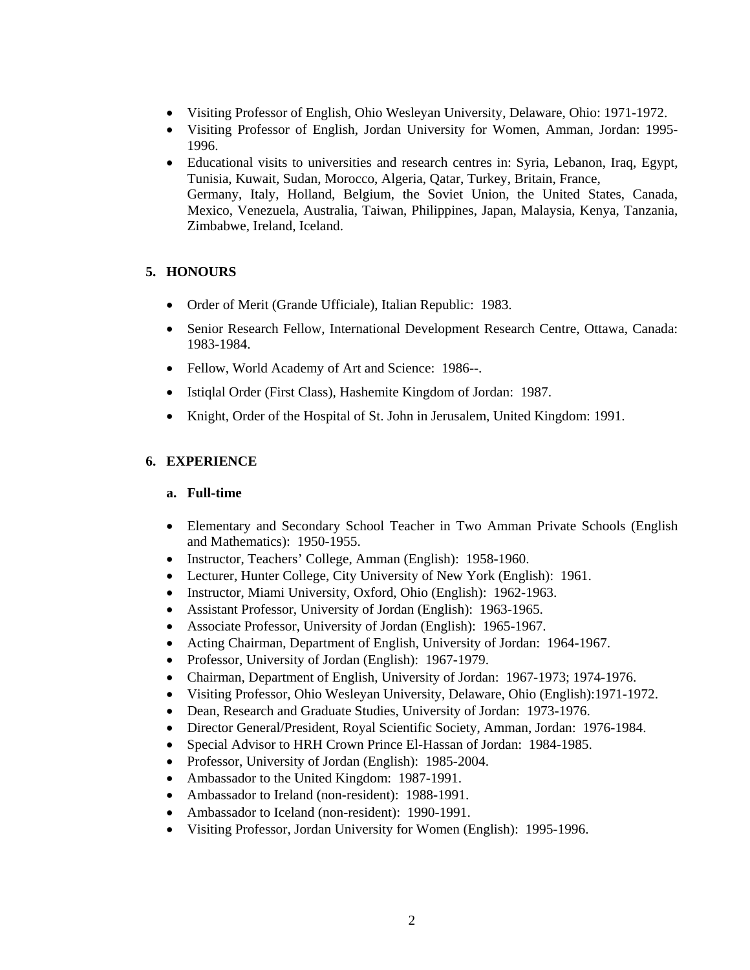- Visiting Professor of English, Ohio Wesleyan University, Delaware, Ohio: 1971-1972.
- Visiting Professor of English, Jordan University for Women, Amman, Jordan: 1995- 1996.
- Educational visits to universities and research centres in: Syria, Lebanon, Iraq, Egypt, Tunisia, Kuwait, Sudan, Morocco, Algeria, Qatar, Turkey, Britain, France, Germany, Italy, Holland, Belgium, the Soviet Union, the United States, Canada, Mexico, Venezuela, Australia, Taiwan, Philippines, Japan, Malaysia, Kenya, Tanzania, Zimbabwe, Ireland, Iceland.

### **5. HONOURS**

- Order of Merit (Grande Ufficiale), Italian Republic: 1983.
- Senior Research Fellow, International Development Research Centre, Ottawa, Canada: 1983-1984.
- Fellow, World Academy of Art and Science: 1986--.
- Istiqlal Order (First Class), Hashemite Kingdom of Jordan: 1987.
- Knight, Order of the Hospital of St. John in Jerusalem, United Kingdom: 1991.

# **6. EXPERIENCE**

### **a. Full-time**

- Elementary and Secondary School Teacher in Two Amman Private Schools (English and Mathematics): 1950-1955.
- Instructor, Teachers' College, Amman (English): 1958-1960.
- Lecturer, Hunter College, City University of New York (English): 1961.
- Instructor, Miami University, Oxford, Ohio (English): 1962-1963.
- Assistant Professor, University of Jordan (English): 1963-1965.
- Associate Professor, University of Jordan (English): 1965-1967.
- Acting Chairman, Department of English, University of Jordan: 1964-1967.
- Professor, University of Jordan (English): 1967-1979.
- Chairman, Department of English, University of Jordan: 1967-1973; 1974-1976.
- Visiting Professor, Ohio Wesleyan University, Delaware, Ohio (English):1971-1972.
- Dean, Research and Graduate Studies, University of Jordan: 1973-1976.
- Director General/President, Royal Scientific Society, Amman, Jordan: 1976-1984.
- Special Advisor to HRH Crown Prince El-Hassan of Jordan: 1984-1985.
- Professor, University of Jordan (English): 1985-2004.
- Ambassador to the United Kingdom: 1987-1991.
- Ambassador to Ireland (non-resident): 1988-1991.
- Ambassador to Iceland (non-resident): 1990-1991.
- Visiting Professor, Jordan University for Women (English): 1995-1996.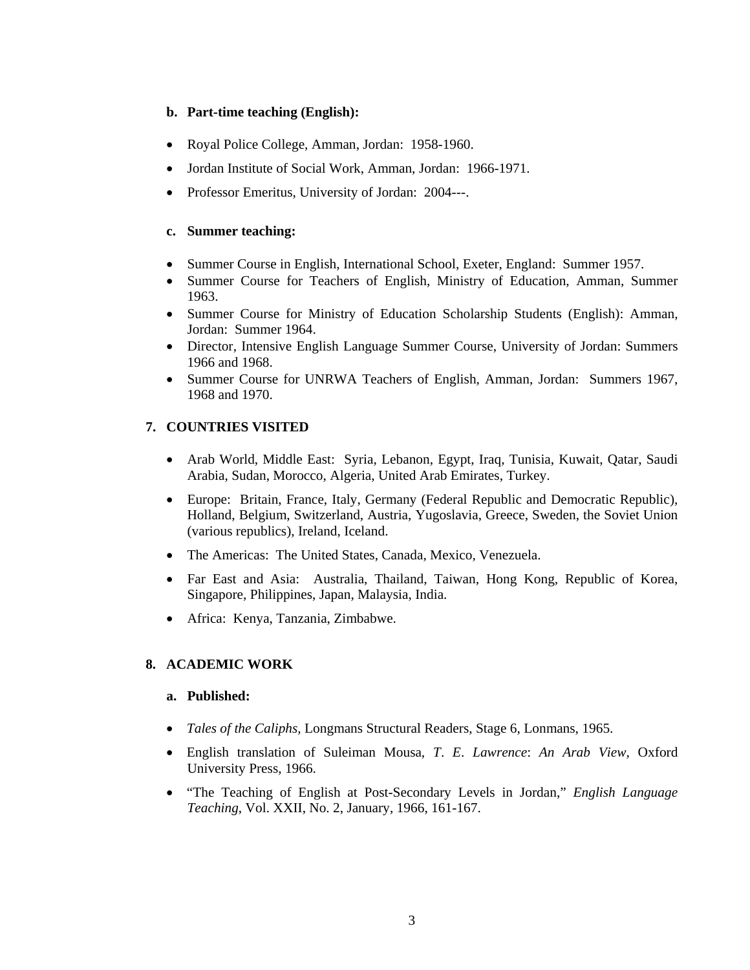### **b. Part-time teaching (English):**

- Royal Police College, Amman, Jordan: 1958-1960.
- Jordan Institute of Social Work, Amman, Jordan: 1966-1971.
- Professor Emeritus, University of Jordan: 2004---.

### **c. Summer teaching:**

- Summer Course in English, International School, Exeter, England: Summer 1957.
- Summer Course for Teachers of English, Ministry of Education, Amman, Summer 1963.
- Summer Course for Ministry of Education Scholarship Students (English): Amman, Jordan: Summer 1964.
- Director, Intensive English Language Summer Course, University of Jordan: Summers 1966 and 1968.
- Summer Course for UNRWA Teachers of English, Amman, Jordan: Summers 1967, 1968 and 1970.

# **7. COUNTRIES VISITED**

- Arab World, Middle East: Syria, Lebanon, Egypt, Iraq, Tunisia, Kuwait, Qatar, Saudi Arabia, Sudan, Morocco, Algeria, United Arab Emirates, Turkey.
- Europe: Britain, France, Italy, Germany (Federal Republic and Democratic Republic), Holland, Belgium, Switzerland, Austria, Yugoslavia, Greece, Sweden, the Soviet Union (various republics), Ireland, Iceland.
- The Americas: The United States, Canada, Mexico, Venezuela.
- Far East and Asia: Australia, Thailand, Taiwan, Hong Kong, Republic of Korea, Singapore, Philippines, Japan, Malaysia, India.
- Africa: Kenya, Tanzania, Zimbabwe.

# **8. ACADEMIC WORK**

### **a. Published:**

- *Tales of the Caliphs,* Longmans Structural Readers, Stage 6, Lonmans, 1965.
- English translation of Suleiman Mousa, *T*. *E*. *Lawrence*: *An Arab View*, Oxford University Press, 1966.
- "The Teaching of English at Post-Secondary Levels in Jordan," *English Language Teaching*, Vol. XXII, No. 2, January, 1966, 161-167.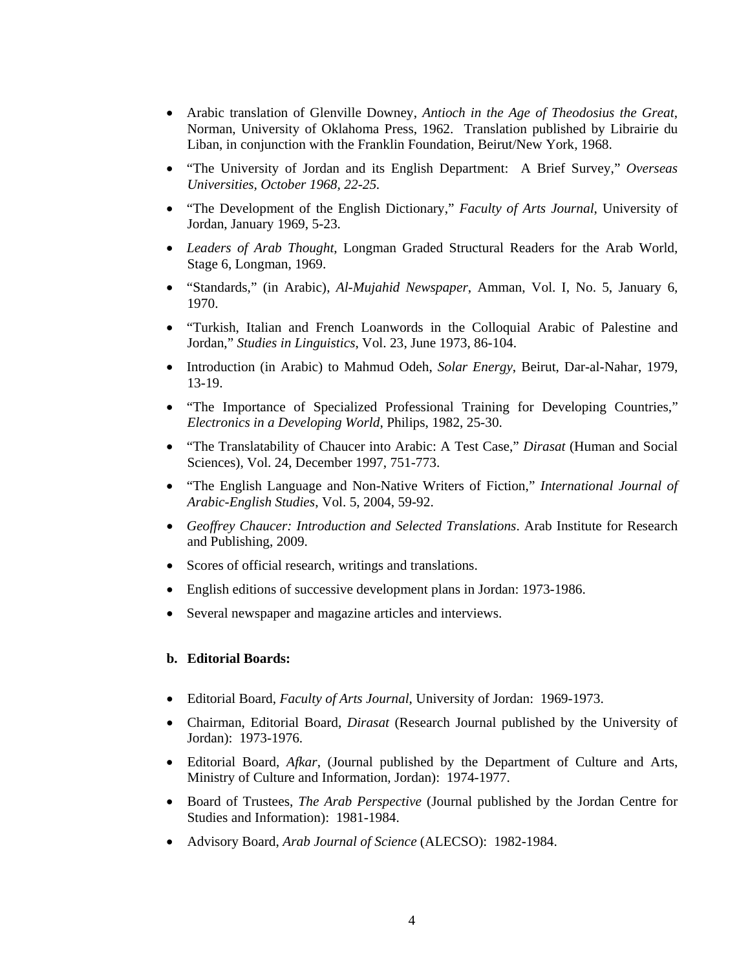- Arabic translation of Glenville Downey, *Antioch in the Age of Theodosius the Great*, Norman, University of Oklahoma Press, 1962. Translation published by Librairie du Liban, in conjunction with the Franklin Foundation, Beirut/New York, 1968.
- "The University of Jordan and its English Department: A Brief Survey," *Overseas Universities, October 1968, 22-25.*
- "The Development of the English Dictionary," *Faculty of Arts Journal*, University of Jordan, January 1969, 5-23.
- *Leaders of Arab Thought*, Longman Graded Structural Readers for the Arab World, Stage 6, Longman, 1969.
- "Standards," (in Arabic), *Al*-*Mujahid Newspaper*, Amman, Vol. I, No. 5, January 6, 1970.
- "Turkish, Italian and French Loanwords in the Colloquial Arabic of Palestine and Jordan," *Studies in Linguistics*, Vol. 23, June 1973, 86-104.
- Introduction (in Arabic) to Mahmud Odeh, *Solar Energy*, Beirut, Dar-al-Nahar, 1979, 13-19.
- "The Importance of Specialized Professional Training for Developing Countries," *Electronics in a Developing World*, Philips, 1982, 25-30.
- "The Translatability of Chaucer into Arabic: A Test Case," *Dirasat* (Human and Social Sciences), Vol. 24, December 1997, 751-773.
- "The English Language and Non-Native Writers of Fiction," *International Journal of Arabic*-*English Studies*, Vol. 5, 2004, 59-92.
- *Geoffrey Chaucer: Introduction and Selected Translations*. Arab Institute for Research and Publishing, 2009.
- Scores of official research, writings and translations.
- English editions of successive development plans in Jordan: 1973-1986.
- Several newspaper and magazine articles and interviews.

#### **b. Editorial Boards:**

- Editorial Board, *Faculty of Arts Journal*, University of Jordan: 1969-1973.
- Chairman, Editorial Board, *Dirasat* (Research Journal published by the University of Jordan): 1973-1976.
- Editorial Board, *Afkar*, (Journal published by the Department of Culture and Arts, Ministry of Culture and Information*,* Jordan): 1974-1977.
- Board of Trustees, *The Arab Perspective* (Journal published by the Jordan Centre for Studies and Information): 1981-1984.
- Advisory Board, *Arab Journal of Science* (ALECSO): 1982-1984.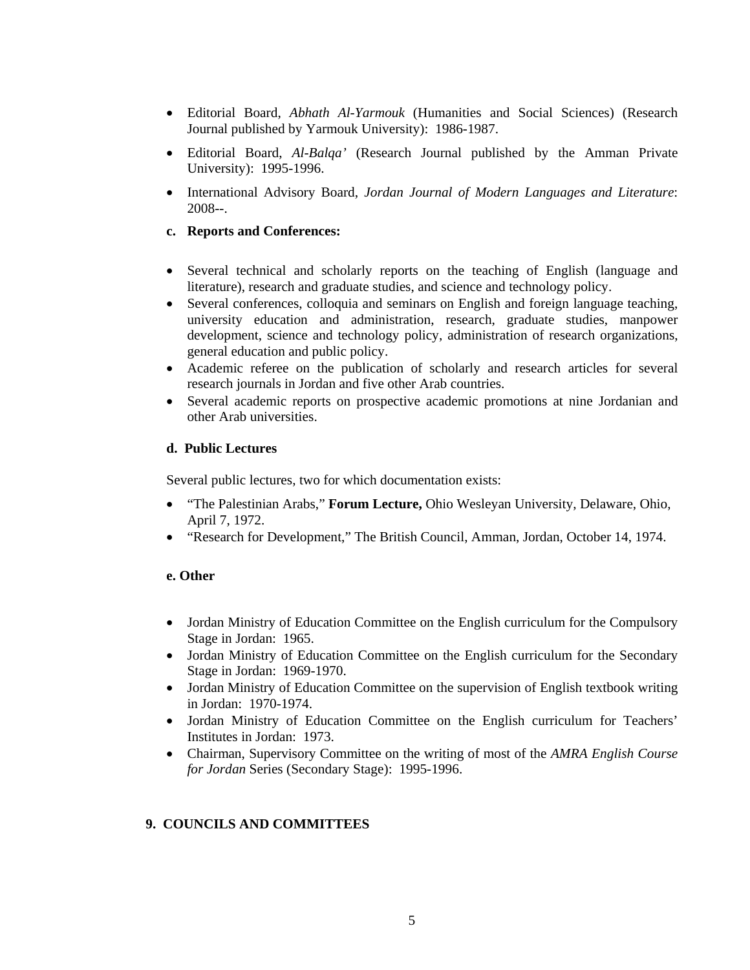- Editorial Board, *Abhath Al*-*Yarmouk* (Humanities and Social Sciences) (Research Journal published by Yarmouk University): 1986-1987.
- Editorial Board, *Al*-*Balqa'* (Research Journal published by the Amman Private University): 1995-1996.
- International Advisory Board, *Jordan Journal of Modern Languages and Literature*: 2008--.

### **c. Reports and Conferences:**

- Several technical and scholarly reports on the teaching of English (language and literature), research and graduate studies, and science and technology policy.
- Several conferences, colloquia and seminars on English and foreign language teaching, university education and administration, research, graduate studies, manpower development, science and technology policy, administration of research organizations, general education and public policy.
- Academic referee on the publication of scholarly and research articles for several research journals in Jordan and five other Arab countries.
- Several academic reports on prospective academic promotions at nine Jordanian and other Arab universities.

### **d. Public Lectures**

Several public lectures, two for which documentation exists:

- "The Palestinian Arabs," **Forum Lecture,** Ohio Wesleyan University, Delaware, Ohio, April 7, 1972.
- "Research for Development," The British Council, Amman, Jordan, October 14, 1974.

### **e. Other**

- Jordan Ministry of Education Committee on the English curriculum for the Compulsory Stage in Jordan: 1965.
- Jordan Ministry of Education Committee on the English curriculum for the Secondary Stage in Jordan: 1969-1970.
- Jordan Ministry of Education Committee on the supervision of English textbook writing in Jordan: 1970-1974.
- Jordan Ministry of Education Committee on the English curriculum for Teachers' Institutes in Jordan: 1973.
- Chairman, Supervisory Committee on the writing of most of the *AMRA English Course for Jordan* Series (Secondary Stage): 1995-1996.

# **9. COUNCILS AND COMMITTEES**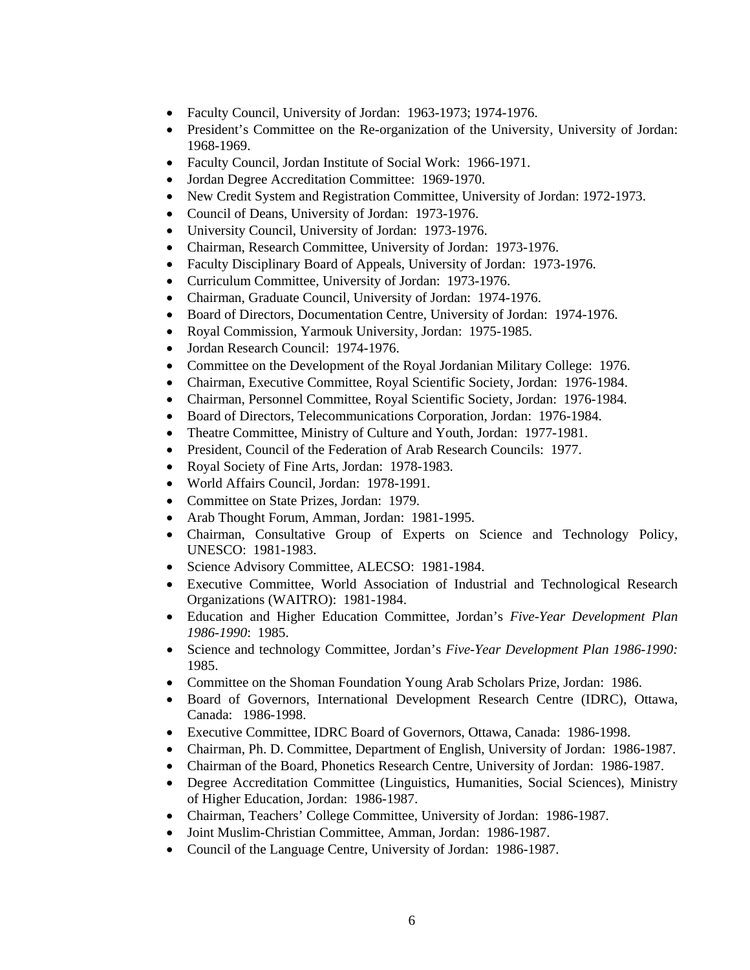- Faculty Council, University of Jordan: 1963-1973; 1974-1976.
- President's Committee on the Re-organization of the University, University of Jordan: 1968-1969.
- Faculty Council, Jordan Institute of Social Work: 1966-1971.
- Jordan Degree Accreditation Committee: 1969-1970.
- New Credit System and Registration Committee, University of Jordan: 1972-1973.
- Council of Deans, University of Jordan: 1973-1976.
- University Council, University of Jordan: 1973-1976.
- Chairman, Research Committee, University of Jordan: 1973-1976.
- Faculty Disciplinary Board of Appeals, University of Jordan: 1973-1976.
- Curriculum Committee, University of Jordan: 1973-1976.
- Chairman, Graduate Council, University of Jordan: 1974-1976.
- Board of Directors, Documentation Centre, University of Jordan: 1974-1976.
- Royal Commission, Yarmouk University, Jordan: 1975-1985.
- Jordan Research Council: 1974-1976.
- Committee on the Development of the Royal Jordanian Military College: 1976.
- Chairman, Executive Committee, Royal Scientific Society, Jordan: 1976-1984.
- Chairman, Personnel Committee, Royal Scientific Society, Jordan: 1976-1984.
- Board of Directors, Telecommunications Corporation, Jordan: 1976-1984.
- Theatre Committee, Ministry of Culture and Youth, Jordan: 1977-1981.
- President, Council of the Federation of Arab Research Councils: 1977.
- Royal Society of Fine Arts, Jordan: 1978-1983.
- World Affairs Council, Jordan: 1978-1991.
- Committee on State Prizes, Jordan: 1979.
- Arab Thought Forum, Amman, Jordan: 1981-1995.
- Chairman, Consultative Group of Experts on Science and Technology Policy, UNESCO: 1981-1983.
- Science Advisory Committee, ALECSO: 1981-1984.
- Executive Committee, World Association of Industrial and Technological Research Organizations (WAITRO): 1981-1984.
- Education and Higher Education Committee, Jordan's *Five*-*Year Development Plan 1986*-*1990*: 1985.
- Science and technology Committee, Jordan's *Five-Year Development Plan 1986-1990:*  1985.
- Committee on the Shoman Foundation Young Arab Scholars Prize, Jordan: 1986.
- Board of Governors, International Development Research Centre (IDRC), Ottawa, Canada: 1986-1998.
- Executive Committee, IDRC Board of Governors, Ottawa, Canada: 1986-1998.
- Chairman, Ph. D. Committee, Department of English, University of Jordan: 1986-1987.
- Chairman of the Board, Phonetics Research Centre, University of Jordan: 1986-1987.
- Degree Accreditation Committee (Linguistics, Humanities, Social Sciences), Ministry of Higher Education, Jordan: 1986-1987.
- Chairman, Teachers' College Committee, University of Jordan: 1986-1987.
- Joint Muslim-Christian Committee, Amman, Jordan: 1986-1987.
- Council of the Language Centre, University of Jordan: 1986-1987.